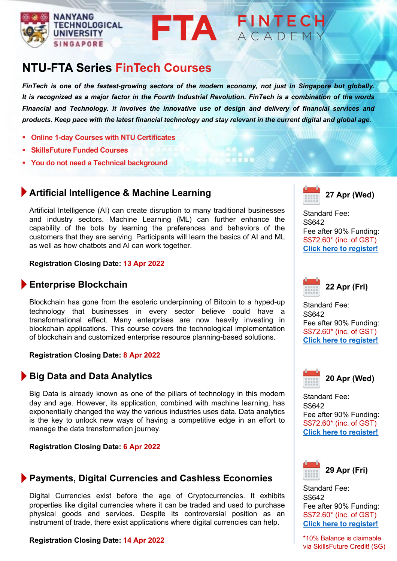

## **I** ACADEMY

# **NTU-FTA Series FinTech Courses**

*FinTech is one of the fastest-growing sectors of the modern economy, not just in Singapore but globally.* It is recognized as a major factor in the Fourth Industrial Revolution. FinTech is a combination of the words *Financial and Technology. It involves the innovative use of design and delivery of financial services and* products. Keep pace with the latest financial technology and stay relevant in the current digital and global age.

- § **Online 1-day Courses with NTU Certificates**
- § **SkillsFuture Funded Courses**
- § **You do not need a Technical background**

## **Artificial Intelligence & Machine Learning**

Artificial Intelligence (AI) can create disruption to many traditional businesses and industry sectors. Machine Learning (ML) can further enhance the capability of the bots by learning the preferences and behaviors of the customers that they are serving. Participants will learn the basics of AI and ML as well as how chatbots and AI can work together.

#### **Registration Closing Date: 13 Apr 2022**

### **Enterprise Blockchain**

Blockchain has gone from the esoteric underpinning of Bitcoin to a hyped-up technology that businesses in every sector believe could have a transformational effect. Many enterprises are now heavily investing in blockchain applications. This course covers the technological implementation of blockchain and customized enterprise resource planning-based solutions.

#### **Registration Closing Date: 8 Apr 2022**

### **Big Data and Data Analytics**

Big Data is already known as one of the pillars of technology in this modern day and age. However, its application, combined with machine learning, has exponentially changed the way the various industries uses data. Data analytics is the key to unlock new ways of having a competitive edge in an effort to manage the data transformation journey.

#### **Registration Closing Date: 6 Apr 2022**

### **Payments, Digital Currencies and Cashless Economies**

Digital Currencies exist before the age of Cryptocurrencies. It exhibits properties like digital currencies where it can be traded and used to purchase physical goods and services. Despite its controversial position as an instrument of trade, there exist applications where digital currencies can help.

#### **Registration Closing Date: 14 Apr 2022**



Standard Fee: S\$642 Fee after 90% Funding: S\$72.60\* (inc. of GST) **Click here to register!**



Standard Fee: S\$642 Fee after 90% Funding: S\$72.60\* (inc. of GST) **Click here to register!**



Standard Fee: S\$642 Fee after 90% Funding: S\$72.60\* (inc. of GST) **Click here to register!**



Standard Fee: S\$642 Fee after 90% Funding: S\$72.60\* (inc. of GST) **Click here to register!**

\*10% Balance is claimable via SkillsFuture Credit! (SG)